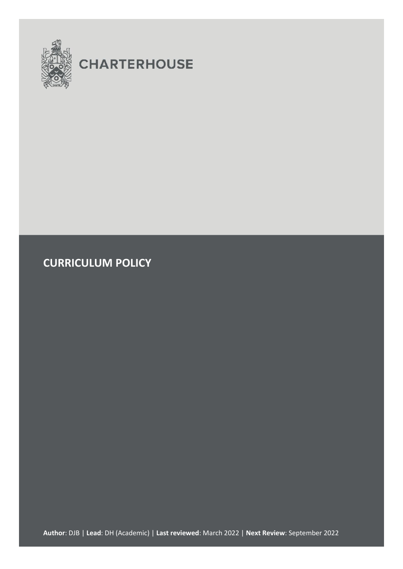

# **CHARTERHOUSE**

**CURRICULUM POLICY**

**Author**: DJB | **Lead**: DH (Academic) | **Last reviewed**: March 2022 | **Next Review**: September 2022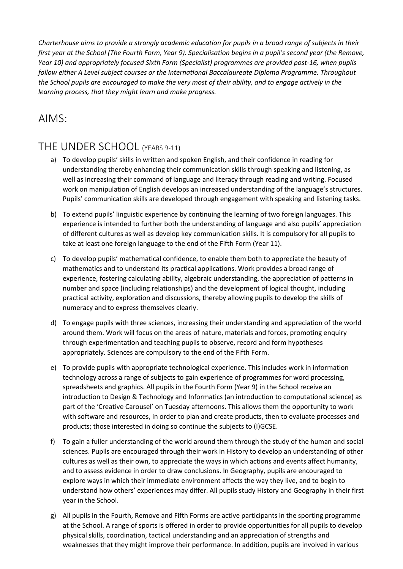*Charterhouse aims to provide a strongly academic education for pupils in a broad range of subjects in their first year at the School (The Fourth Form, Year 9). Specialisation begins in a pupil's second year (the Remove, Year 10) and appropriately focused Sixth Form (Specialist) programmes are provided post-16, when pupils follow either A Level subject courses or the International Baccalaureate Diploma Programme. Throughout the School pupils are encouraged to make the very most of their ability, and to engage actively in the learning process, that they might learn and make progress.*

#### AIMS:

#### THE UNDER SCHOOL (YEARS 9-11)

- a) To develop pupils' skills in written and spoken English, and their confidence in reading for understanding thereby enhancing their communication skills through speaking and listening, as well as increasing their command of language and literacy through reading and writing. Focused work on manipulation of English develops an increased understanding of the language's structures. Pupils' communication skills are developed through engagement with speaking and listening tasks.
- b) To extend pupils' linguistic experience by continuing the learning of two foreign languages. This experience is intended to further both the understanding of language and also pupils' appreciation of different cultures as well as develop key communication skills. It is compulsory for all pupils to take at least one foreign language to the end of the Fifth Form (Year 11).
- c) To develop pupils' mathematical confidence, to enable them both to appreciate the beauty of mathematics and to understand its practical applications. Work provides a broad range of experience, fostering calculating ability, algebraic understanding, the appreciation of patterns in number and space (including relationships) and the development of logical thought, including practical activity, exploration and discussions, thereby allowing pupils to develop the skills of numeracy and to express themselves clearly.
- d) To engage pupils with three sciences, increasing their understanding and appreciation of the world around them. Work will focus on the areas of nature, materials and forces, promoting enquiry through experimentation and teaching pupils to observe, record and form hypotheses appropriately. Sciences are compulsory to the end of the Fifth Form.
- e) To provide pupils with appropriate technological experience. This includes work in information technology across a range of subjects to gain experience of programmes for word processing, spreadsheets and graphics. All pupils in the Fourth Form (Year 9) in the School receive an introduction to Design & Technology and Informatics (an introduction to computational science) as part of the 'Creative Carousel' on Tuesday afternoons. This allows them the opportunity to work with software and resources, in order to plan and create products, then to evaluate processes and products; those interested in doing so continue the subjects to (I)GCSE.
- f) To gain a fuller understanding of the world around them through the study of the human and social sciences. Pupils are encouraged through their work in History to develop an understanding of other cultures as well as their own, to appreciate the ways in which actions and events affect humanity, and to assess evidence in order to draw conclusions. In Geography, pupils are encouraged to explore ways in which their immediate environment affects the way they live, and to begin to understand how others' experiences may differ. All pupils study History and Geography in their first year in the School.
- g) All pupils in the Fourth, Remove and Fifth Forms are active participants in the sporting programme at the School. A range of sports is offered in order to provide opportunities for all pupils to develop physical skills, coordination, tactical understanding and an appreciation of strengths and weaknesses that they might improve their performance. In addition, pupils are involved in various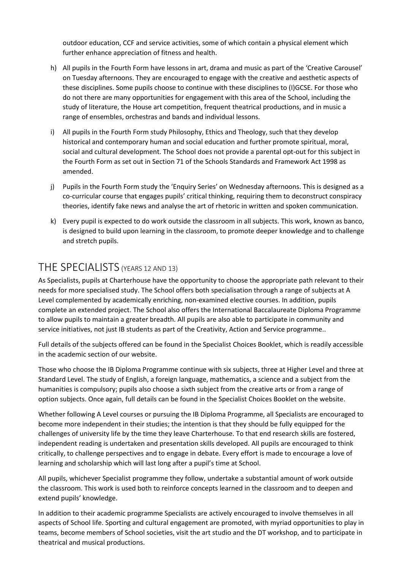outdoor education, CCF and service activities, some of which contain a physical element which further enhance appreciation of fitness and health.

- h) All pupils in the Fourth Form have lessons in art, drama and music as part of the 'Creative Carousel' on Tuesday afternoons. They are encouraged to engage with the creative and aesthetic aspects of these disciplines. Some pupils choose to continue with these disciplines to (I)GCSE. For those who do not there are many opportunities for engagement with this area of the School, including the study of literature, the House art competition, frequent theatrical productions, and in music a range of ensembles, orchestras and bands and individual lessons.
- i) All pupils in the Fourth Form study Philosophy, Ethics and Theology, such that they develop historical and contemporary human and social education and further promote spiritual, moral, social and cultural development. The School does not provide a parental opt-out for this subject in the Fourth Form as set out in Section 71 of the Schools Standards and Framework Act 1998 as amended.
- j) Pupils in the Fourth Form study the 'Enquiry Series' on Wednesday afternoons. This is designed as a co-curricular course that engages pupils' critical thinking, requiring them to deconstruct conspiracy theories, identify fake news and analyse the art of rhetoric in written and spoken communication.
- k) Every pupil is expected to do work outside the classroom in all subjects. This work, known as banco, is designed to build upon learning in the classroom, to promote deeper knowledge and to challenge and stretch pupils.

#### THE SPECIALISTS (YEARS 12 AND 13)

As Specialists, pupils at Charterhouse have the opportunity to choose the appropriate path relevant to their needs for more specialised study. The School offers both specialisation through a range of subjects at A Level complemented by academically enriching, non-examined elective courses. In addition, pupils complete an extended project. The School also offers the International Baccalaureate Diploma Programme to allow pupils to maintain a greater breadth. All pupils are also able to participate in community and service initiatives, not just IB students as part of the Creativity, Action and Service programme..

Full details of the subjects offered can be found in the Specialist Choices Booklet, which is readily accessible in the academic section of our website.

Those who choose the IB Diploma Programme continue with six subjects, three at Higher Level and three at Standard Level. The study of English, a foreign language, mathematics, a science and a subject from the humanities is compulsory; pupils also choose a sixth subject from the creative arts or from a range of option subjects. Once again, full details can be found in the Specialist Choices Booklet on the website.

Whether following A Level courses or pursuing the IB Diploma Programme, all Specialists are encouraged to become more independent in their studies; the intention is that they should be fully equipped for the challenges of university life by the time they leave Charterhouse. To that end research skills are fostered, independent reading is undertaken and presentation skills developed. All pupils are encouraged to think critically, to challenge perspectives and to engage in debate. Every effort is made to encourage a love of learning and scholarship which will last long after a pupil's time at School.

All pupils, whichever Specialist programme they follow, undertake a substantial amount of work outside the classroom. This work is used both to reinforce concepts learned in the classroom and to deepen and extend pupils' knowledge.

In addition to their academic programme Specialists are actively encouraged to involve themselves in all aspects of School life. Sporting and cultural engagement are promoted, with myriad opportunities to play in teams, become members of School societies, visit the art studio and the DT workshop, and to participate in theatrical and musical productions.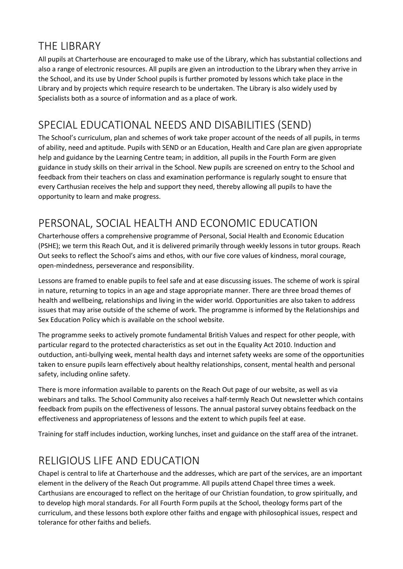#### THE LIBRARY

All pupils at Charterhouse are encouraged to make use of the Library, which has substantial collections and also a range of electronic resources. All pupils are given an introduction to the Library when they arrive in the School, and its use by Under School pupils is further promoted by lessons which take place in the Library and by projects which require research to be undertaken. The Library is also widely used by Specialists both as a source of information and as a place of work.

# SPECIAL EDUCATIONAL NEEDS AND DISABILITIES (SEND)

The School's curriculum, plan and schemes of work take proper account of the needs of all pupils, in terms of ability, need and aptitude. Pupils with SEND or an Education, Health and Care plan are given appropriate help and guidance by the Learning Centre team; in addition, all pupils in the Fourth Form are given guidance in study skills on their arrival in the School. New pupils are screened on entry to the School and feedback from their teachers on class and examination performance is regularly sought to ensure that every Carthusian receives the help and support they need, thereby allowing all pupils to have the opportunity to learn and make progress.

#### PERSONAL, SOCIAL HEALTH AND ECONOMIC EDUCATION

Charterhouse offers a comprehensive programme of Personal, Social Health and Economic Education (PSHE); we term this Reach Out, and it is delivered primarily through weekly lessons in tutor groups. Reach Out seeks to reflect the School's aims and ethos, with our five core values of kindness, moral courage, open-mindedness, perseverance and responsibility.

Lessons are framed to enable pupils to feel safe and at ease discussing issues. The scheme of work is spiral in nature, returning to topics in an age and stage appropriate manner. There are three broad themes of health and wellbeing, relationships and living in the wider world. Opportunities are also taken to address issues that may arise outside of the scheme of work. The programme is informed by the Relationships and Sex Education Policy which is available on the school website.

The programme seeks to actively promote fundamental British Values and respect for other people, with particular regard to the protected characteristics as set out in the Equality Act 2010. Induction and outduction, anti-bullying week, mental health days and internet safety weeks are some of the opportunities taken to ensure pupils learn effectively about healthy relationships, consent, mental health and personal safety, including online safety.

There is more information available to parents on the Reach Out page of our website, as well as via webinars and talks. The School Community also receives a half-termly Reach Out newsletter which contains feedback from pupils on the effectiveness of lessons. The annual pastoral survey obtains feedback on the effectiveness and appropriateness of lessons and the extent to which pupils feel at ease.

Training for staff includes induction, working lunches, inset and guidance on the staff area of the intranet.

#### RELIGIOUS LIFE AND EDUCATION

Chapel is central to life at Charterhouse and the addresses, which are part of the services, are an important element in the delivery of the Reach Out programme. All pupils attend Chapel three times a week. Carthusians are encouraged to reflect on the heritage of our Christian foundation, to grow spiritually, and to develop high moral standards. For all Fourth Form pupils at the School, theology forms part of the curriculum, and these lessons both explore other faiths and engage with philosophical issues, respect and tolerance for other faiths and beliefs.